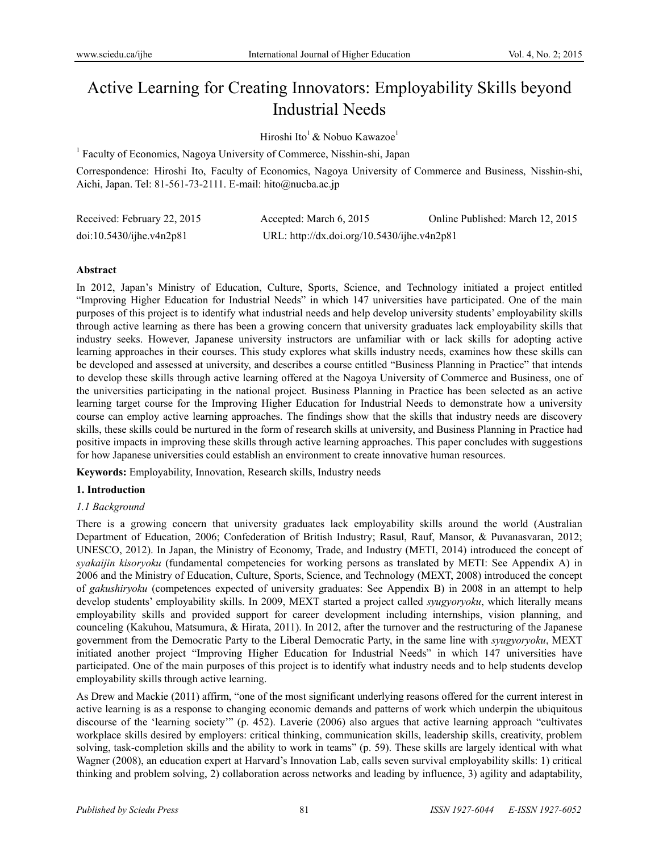# Active Learning for Creating Innovators: Employability Skills beyond Industrial Needs

Hiroshi Ito<sup>1</sup> & Nobuo Kawazoe<sup>1</sup>

<sup>1</sup> Faculty of Economics, Nagoya University of Commerce, Nisshin-shi, Japan

Correspondence: Hiroshi Ito, Faculty of Economics, Nagoya University of Commerce and Business, Nisshin-shi, Aichi, Japan. Tel: 81-561-73-2111. E-mail: hito@nucba.ac.jp

| Received: February 22, 2015 | Accepted: March 6, 2015                     | Online Published: March 12, 2015 |
|-----------------------------|---------------------------------------------|----------------------------------|
| doi:10.5430/ijhe.v4n2p81    | URL: http://dx.doi.org/10.5430/ijhe.v4n2p81 |                                  |

## **Abstract**

In 2012, Japan's Ministry of Education, Culture, Sports, Science, and Technology initiated a project entitled "Improving Higher Education for Industrial Needs" in which 147 universities have participated. One of the main purposes of this project is to identify what industrial needs and help develop university students' employability skills through active learning as there has been a growing concern that university graduates lack employability skills that industry seeks. However, Japanese university instructors are unfamiliar with or lack skills for adopting active learning approaches in their courses. This study explores what skills industry needs, examines how these skills can be developed and assessed at university, and describes a course entitled "Business Planning in Practice" that intends to develop these skills through active learning offered at the Nagoya University of Commerce and Business, one of the universities participating in the national project. Business Planning in Practice has been selected as an active learning target course for the Improving Higher Education for Industrial Needs to demonstrate how a university course can employ active learning approaches. The findings show that the skills that industry needs are discovery skills, these skills could be nurtured in the form of research skills at university, and Business Planning in Practice had positive impacts in improving these skills through active learning approaches. This paper concludes with suggestions for how Japanese universities could establish an environment to create innovative human resources.

**Keywords:** Employability, Innovation, Research skills, Industry needs

# **1. Introduction**

# *1.1 Background*

There is a growing concern that university graduates lack employability skills around the world (Australian Department of Education, 2006; Confederation of British Industry; Rasul, Rauf, Mansor, & Puvanasvaran, 2012; UNESCO, 2012). In Japan, the Ministry of Economy, Trade, and Industry (METI, 2014) introduced the concept of *syakaijin kisoryoku* (fundamental competencies for working persons as translated by METI: See Appendix A) in 2006 and the Ministry of Education, Culture, Sports, Science, and Technology (MEXT, 2008) introduced the concept of *gakushiryoku* (competences expected of university graduates: See Appendix B) in 2008 in an attempt to help develop students' employability skills. In 2009, MEXT started a project called *syugyoryoku*, which literally means employability skills and provided support for career development including internships, vision planning, and counceling (Kakuhou, Matsumura, & Hirata, 2011). In 2012, after the turnover and the restructuring of the Japanese government from the Democratic Party to the Liberal Democratic Party, in the same line with *syugyoryoku*, MEXT initiated another project "Improving Higher Education for Industrial Needs" in which 147 universities have participated. One of the main purposes of this project is to identify what industry needs and to help students develop employability skills through active learning.

As Drew and Mackie (2011) affirm, "one of the most significant underlying reasons offered for the current interest in active learning is as a response to changing economic demands and patterns of work which underpin the ubiquitous discourse of the 'learning society'" (p. 452). Laverie (2006) also argues that active learning approach "cultivates workplace skills desired by employers: critical thinking, communication skills, leadership skills, creativity, problem solving, task-completion skills and the ability to work in teams" (p. 59). These skills are largely identical with what Wagner (2008), an education expert at Harvard's Innovation Lab, calls seven survival employability skills: 1) critical thinking and problem solving, 2) collaboration across networks and leading by influence, 3) agility and adaptability,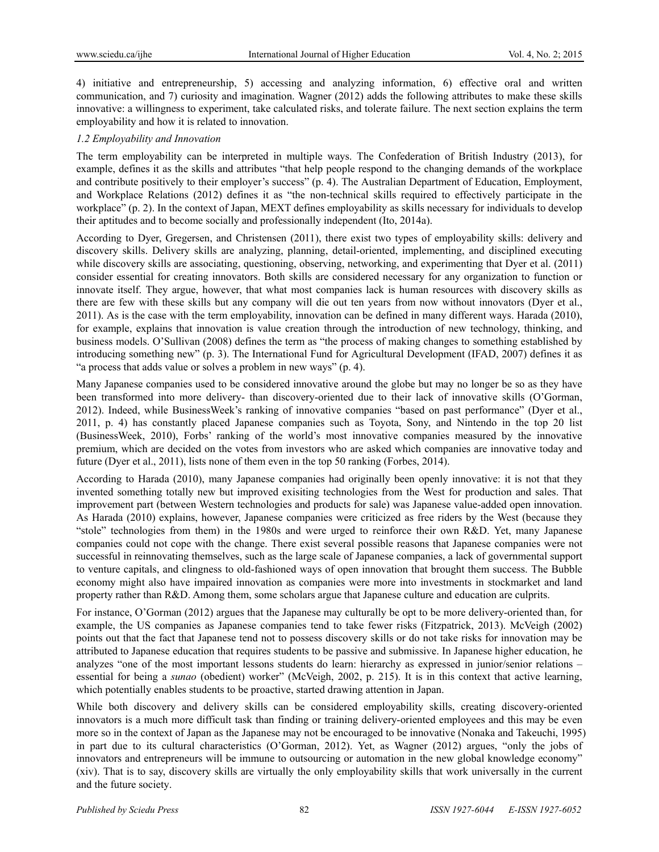4) initiative and entrepreneurship, 5) accessing and analyzing information, 6) effective oral and written communication, and 7) curiosity and imagination. Wagner (2012) adds the following attributes to make these skills innovative: a willingness to experiment, take calculated risks, and tolerate failure. The next section explains the term employability and how it is related to innovation.

## *1.2 Employability and Innovation*

The term employability can be interpreted in multiple ways. The Confederation of British Industry (2013), for example, defines it as the skills and attributes "that help people respond to the changing demands of the workplace and contribute positively to their employer's success" (p. 4). The Australian Department of Education, Employment, and Workplace Relations (2012) defines it as "the non-technical skills required to effectively participate in the workplace" (p. 2). In the context of Japan, MEXT defines employability as skills necessary for individuals to develop their aptitudes and to become socially and professionally independent (Ito, 2014a).

According to Dyer, Gregersen, and Christensen (2011), there exist two types of employability skills: delivery and discovery skills. Delivery skills are analyzing, planning, detail-oriented, implementing, and disciplined executing while discovery skills are associating, questioning, observing, networking, and experimenting that Dyer et al. (2011) consider essential for creating innovators. Both skills are considered necessary for any organization to function or innovate itself. They argue, however, that what most companies lack is human resources with discovery skills as there are few with these skills but any company will die out ten years from now without innovators (Dyer et al., 2011). As is the case with the term employability, innovation can be defined in many different ways. Harada (2010), for example, explains that innovation is value creation through the introduction of new technology, thinking, and business models. O'Sullivan (2008) defines the term as "the process of making changes to something established by introducing something new" (p. 3). The International Fund for Agricultural Development (IFAD, 2007) defines it as "a process that adds value or solves a problem in new ways" (p. 4).

Many Japanese companies used to be considered innovative around the globe but may no longer be so as they have been transformed into more delivery- than discovery-oriented due to their lack of innovative skills (O'Gorman, 2012). Indeed, while BusinessWeek's ranking of innovative companies "based on past performance" (Dyer et al., 2011, p. 4) has constantly placed Japanese companies such as Toyota, Sony, and Nintendo in the top 20 list (BusinessWeek, 2010), Forbs' ranking of the world's most innovative companies measured by the innovative premium, which are decided on the votes from investors who are asked which companies are innovative today and future (Dyer et al., 2011), lists none of them even in the top 50 ranking (Forbes, 2014).

According to Harada (2010), many Japanese companies had originally been openly innovative: it is not that they invented something totally new but improved exisiting technologies from the West for production and sales. That improvement part (between Western technologies and products for sale) was Japanese value-added open innovation. As Harada (2010) explains, however, Japanese companies were criticized as free riders by the West (because they "stole" technologies from them) in the 1980s and were urged to reinforce their own R&D. Yet, many Japanese companies could not cope with the change. There exist several possible reasons that Japanese companies were not successful in reinnovating themselves, such as the large scale of Japanese companies, a lack of governmental support to venture capitals, and clingness to old-fashioned ways of open innovation that brought them success. The Bubble economy might also have impaired innovation as companies were more into investments in stockmarket and land property rather than R&D. Among them, some scholars argue that Japanese culture and education are culprits.

For instance, O'Gorman (2012) argues that the Japanese may culturally be opt to be more delivery-oriented than, for example, the US companies as Japanese companies tend to take fewer risks (Fitzpatrick, 2013). McVeigh (2002) points out that the fact that Japanese tend not to possess discovery skills or do not take risks for innovation may be attributed to Japanese education that requires students to be passive and submissive. In Japanese higher education, he analyzes "one of the most important lessons students do learn: hierarchy as expressed in junior/senior relations – essential for being a *sunao* (obedient) worker" (McVeigh, 2002, p. 215). It is in this context that active learning, which potentially enables students to be proactive, started drawing attention in Japan.

While both discovery and delivery skills can be considered employability skills, creating discovery-oriented innovators is a much more difficult task than finding or training delivery-oriented employees and this may be even more so in the context of Japan as the Japanese may not be encouraged to be innovative (Nonaka and Takeuchi, 1995) in part due to its cultural characteristics (O'Gorman, 2012). Yet, as Wagner (2012) argues, "only the jobs of innovators and entrepreneurs will be immune to outsourcing or automation in the new global knowledge economy" (xiv). That is to say, discovery skills are virtually the only employability skills that work universally in the current and the future society.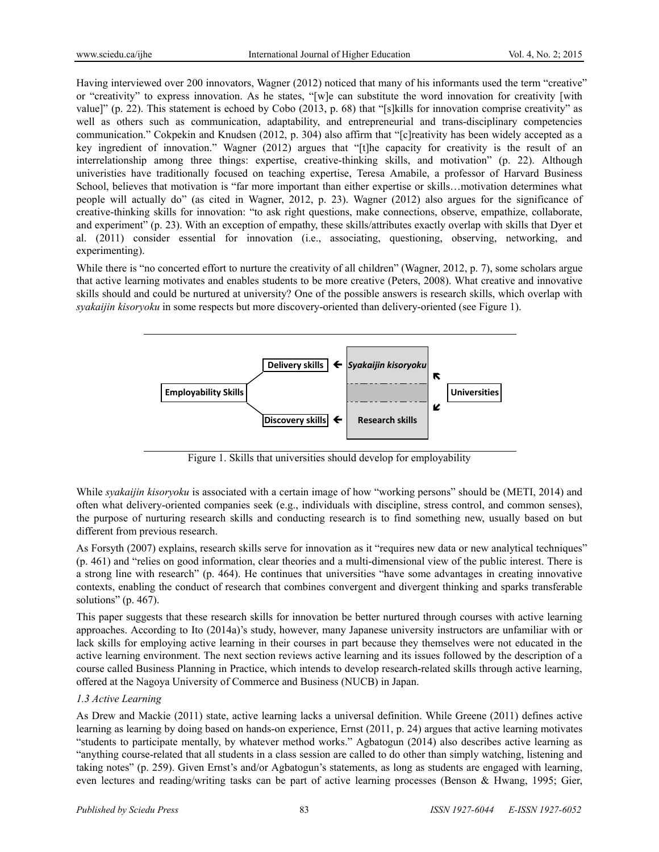Having interviewed over 200 innovators, Wagner (2012) noticed that many of his informants used the term "creative" or "creativity" to express innovation. As he states, "[w]e can substitute the word innovation for creativity [with value]" (p. 22). This statement is echoed by Cobo (2013, p. 68) that "[s]kills for innovation comprise creativity" as well as others such as communication, adaptability, and entrepreneurial and trans-disciplinary competencies communication." Cokpekin and Knudsen (2012, p. 304) also affirm that "[c]reativity has been widely accepted as a key ingredient of innovation." Wagner (2012) argues that "[t]he capacity for creativity is the result of an interrelationship among three things: expertise, creative-thinking skills, and motivation" (p. 22). Although univeristies have traditionally focused on teaching expertise, Teresa Amabile, a professor of Harvard Business School, believes that motivation is "far more important than either expertise or skills…motivation determines what people will actually do" (as cited in Wagner, 2012, p. 23). Wagner (2012) also argues for the significance of creative-thinking skills for innovation: "to ask right questions, make connections, observe, empathize, collaborate, and experiment" (p. 23). With an exception of empathy, these skills/attributes exactly overlap with skills that Dyer et al. (2011) consider essential for innovation (i.e., associating, questioning, observing, networking, and experimenting).

While there is "no concerted effort to nurture the creativity of all children" (Wagner, 2012, p. 7), some scholars argue that active learning motivates and enables students to be more creative (Peters, 2008). What creative and innovative skills should and could be nurtured at university? One of the possible answers is research skills, which overlap with *syakaijin kisoryoku* in some respects but more discovery-oriented than delivery-oriented (see Figure 1).



Figure 1. Skills that universities should develop for employability

While *syakaijin kisoryoku* is associated with a certain image of how "working persons" should be (METI, 2014) and often what delivery-oriented companies seek (e.g., individuals with discipline, stress control, and common senses), the purpose of nurturing research skills and conducting research is to find something new, usually based on but different from previous research.

As Forsyth (2007) explains, research skills serve for innovation as it "requires new data or new analytical techniques" (p. 461) and "relies on good information, clear theories and a multi-dimensional view of the public interest. There is a strong line with research" (p. 464). He continues that universities "have some advantages in creating innovative contexts, enabling the conduct of research that combines convergent and divergent thinking and sparks transferable solutions" (p. 467).

This paper suggests that these research skills for innovation be better nurtured through courses with active learning approaches. According to Ito (2014a)'s study, however, many Japanese university instructors are unfamiliar with or lack skills for employing active learning in their courses in part because they themselves were not educated in the active learning environment. The next section reviews active learning and its issues followed by the description of a course called Business Planning in Practice, which intends to develop research-related skills through active learning, offered at the Nagoya University of Commerce and Business (NUCB) in Japan.

# *1.3 Active Learning*

As Drew and Mackie (2011) state, active learning lacks a universal definition. While Greene (2011) defines active learning as learning by doing based on hands-on experience, Ernst (2011, p. 24) argues that active learning motivates "students to participate mentally, by whatever method works." Agbatogun (2014) also describes active learning as "anything course-related that all students in a class session are called to do other than simply watching, listening and taking notes" (p. 259). Given Ernst's and/or Agbatogun's statements, as long as students are engaged with learning, even lectures and reading/writing tasks can be part of active learning processes (Benson & Hwang, 1995; Gier,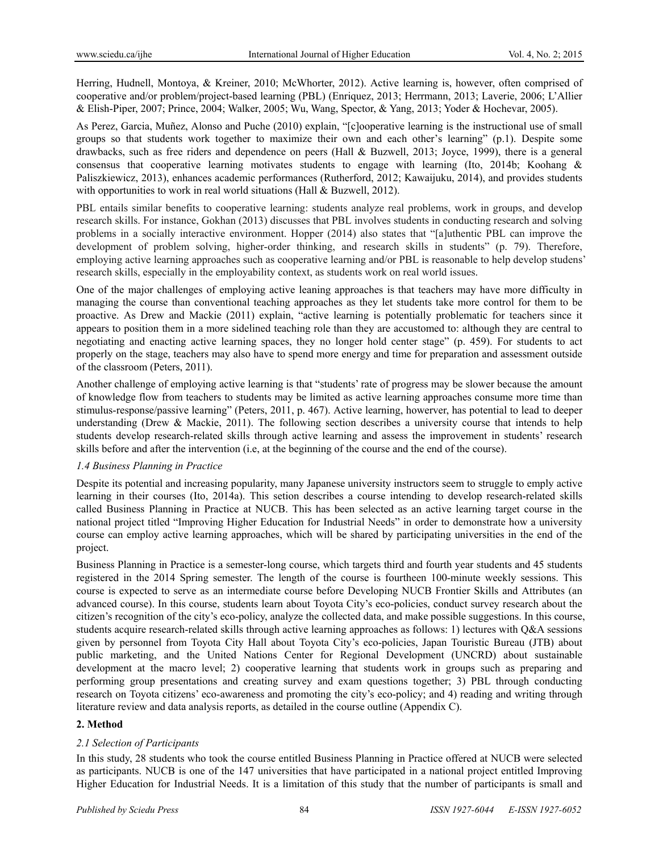Herring, Hudnell, Montoya, & Kreiner, 2010; McWhorter, 2012). Active learning is, however, often comprised of cooperative and/or problem/project-based learning (PBL) (Enriquez, 2013; Herrmann, 2013; Laverie, 2006; L'Allier & Elish-Piper, 2007; Prince, 2004; Walker, 2005; Wu, Wang, Spector, & Yang, 2013; Yoder & Hochevar, 2005).

As Perez, Garcia, Muñez, Alonso and Puche (2010) explain, "[c]ooperative learning is the instructional use of small groups so that students work together to maximize their own and each other's learning" (p.1). Despite some drawbacks, such as free riders and dependence on peers (Hall & Buzwell, 2013; Joyce, 1999), there is a general consensus that cooperative learning motivates students to engage with learning (Ito, 2014b; Koohang & Paliszkiewicz, 2013), enhances academic performances (Rutherford, 2012; Kawaijuku, 2014), and provides students with opportunities to work in real world situations (Hall & Buzwell, 2012).

PBL entails similar benefits to cooperative learning: students analyze real problems, work in groups, and develop research skills. For instance, Gokhan (2013) discusses that PBL involves students in conducting research and solving problems in a socially interactive environment. Hopper (2014) also states that "[a]uthentic PBL can improve the development of problem solving, higher-order thinking, and research skills in students" (p. 79). Therefore, employing active learning approaches such as cooperative learning and/or PBL is reasonable to help develop studens' research skills, especially in the employability context, as students work on real world issues.

One of the major challenges of employing active leaning approaches is that teachers may have more difficulty in managing the course than conventional teaching approaches as they let students take more control for them to be proactive. As Drew and Mackie (2011) explain, "active learning is potentially problematic for teachers since it appears to position them in a more sidelined teaching role than they are accustomed to: although they are central to negotiating and enacting active learning spaces, they no longer hold center stage" (p. 459). For students to act properly on the stage, teachers may also have to spend more energy and time for preparation and assessment outside of the classroom (Peters, 2011).

Another challenge of employing active learning is that "students' rate of progress may be slower because the amount of knowledge flow from teachers to students may be limited as active learning approaches consume more time than stimulus-response/passive learning" (Peters, 2011, p. 467). Active learning, howerver, has potential to lead to deeper understanding (Drew & Mackie, 2011). The following section describes a university course that intends to help students develop research-related skills through active learning and assess the improvement in students' research skills before and after the intervention (i.e, at the beginning of the course and the end of the course).

# *1.4 Business Planning in Practice*

Despite its potential and increasing popularity, many Japanese university instructors seem to struggle to emply active learning in their courses (Ito, 2014a). This setion describes a course intending to develop research-related skills called Business Planning in Practice at NUCB. This has been selected as an active learning target course in the national project titled "Improving Higher Education for Industrial Needs" in order to demonstrate how a university course can employ active learning approaches, which will be shared by participating universities in the end of the project.

Business Planning in Practice is a semester-long course, which targets third and fourth year students and 45 students registered in the 2014 Spring semester. The length of the course is fourtheen 100-minute weekly sessions. This course is expected to serve as an intermediate course before Developing NUCB Frontier Skills and Attributes (an advanced course). In this course, students learn about Toyota City's eco-policies, conduct survey research about the citizen's recognition of the city's eco-policy, analyze the collected data, and make possible suggestions. In this course, students acquire research-related skills through active learning approaches as follows: 1) lectures with Q&A sessions given by personnel from Toyota City Hall about Toyota City's eco-policies, Japan Touristic Bureau (JTB) about public marketing, and the United Nations Center for Regional Development (UNCRD) about sustainable development at the macro level; 2) cooperative learning that students work in groups such as preparing and performing group presentations and creating survey and exam questions together; 3) PBL through conducting research on Toyota citizens' eco-awareness and promoting the city's eco-policy; and 4) reading and writing through literature review and data analysis reports, as detailed in the course outline (Appendix C).

# **2. Method**

# *2.1 Selection of Participants*

In this study, 28 students who took the course entitled Business Planning in Practice offered at NUCB were selected as participants. NUCB is one of the 147 universities that have participated in a national project entitled Improving Higher Education for Industrial Needs. It is a limitation of this study that the number of participants is small and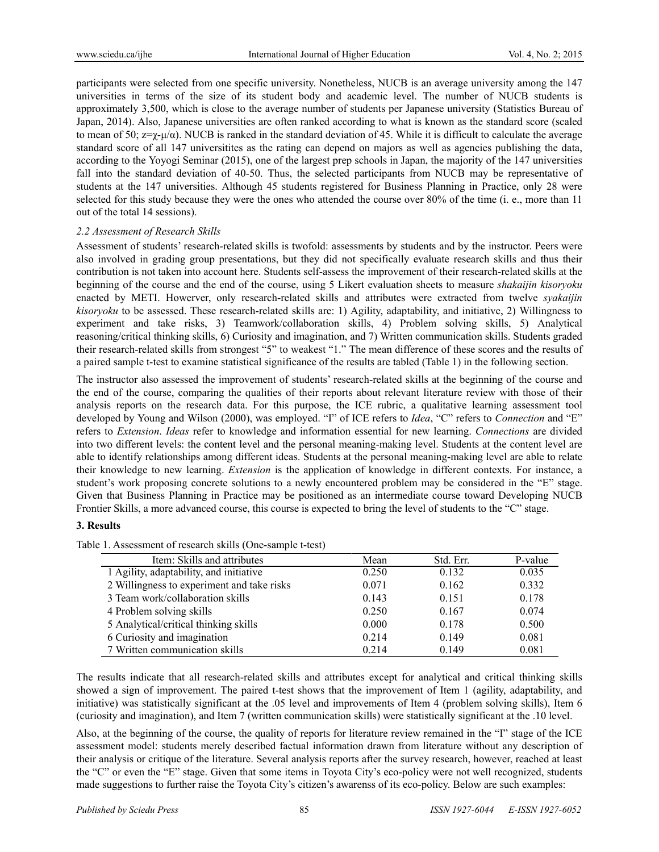participants were selected from one specific university. Nonetheless, NUCB is an average university among the 147 universities in terms of the size of its student body and academic level. The number of NUCB students is approximately 3,500, which is close to the average number of students per Japanese university (Statistics Bureau of Japan, 2014). Also, Japanese universities are often ranked according to what is known as the standard score (scaled to mean of 50;  $z = \gamma - \mu/\alpha$ ). NUCB is ranked in the standard deviation of 45. While it is difficult to calculate the average standard score of all 147 universitites as the rating can depend on majors as well as agencies publishing the data, according to the Yoyogi Seminar (2015), one of the largest prep schools in Japan, the majority of the 147 universities fall into the standard deviation of 40-50. Thus, the selected participants from NUCB may be representative of students at the 147 universities. Although 45 students registered for Business Planning in Practice, only 28 were selected for this study because they were the ones who attended the course over 80% of the time (i. e., more than 11 out of the total 14 sessions).

# *2.2 Assessment of Research Skills*

Assessment of students' research-related skills is twofold: assessments by students and by the instructor. Peers were also involved in grading group presentations, but they did not specifically evaluate research skills and thus their contribution is not taken into account here. Students self-assess the improvement of their research-related skills at the beginning of the course and the end of the course, using 5 Likert evaluation sheets to measure *shakaijin kisoryoku* enacted by METI. Howerver, only research-related skills and attributes were extracted from twelve *syakaijin kisoryoku* to be assessed. These research-related skills are: 1) Agility, adaptability, and initiative, 2) Willingness to experiment and take risks, 3) Teamwork/collaboration skills, 4) Problem solving skills, 5) Analytical reasoning/critical thinking skills, 6) Curiosity and imagination, and 7) Written communication skills. Students graded their research-related skills from strongest "5" to weakest "1." The mean difference of these scores and the results of a paired sample t-test to examine statistical significance of the results are tabled (Table 1) in the following section.

The instructor also assessed the improvement of students' research-related skills at the beginning of the course and the end of the course, comparing the qualities of their reports about relevant literature review with those of their analysis reports on the research data. For this purpose, the ICE rubric, a qualitative learning assessment tool developed by Young and Wilson (2000), was employed. "I" of ICE refers to *Idea*, "C" refers to *Connection* and "E" refers to *Extension*. *Ideas* refer to knowledge and information essential for new learning. *Connections* are divided into two different levels: the content level and the personal meaning-making level. Students at the content level are able to identify relationships among different ideas. Students at the personal meaning-making level are able to relate their knowledge to new learning. *Extension* is the application of knowledge in different contexts. For instance, a student's work proposing concrete solutions to a newly encountered problem may be considered in the "E" stage. Given that Business Planning in Practice may be positioned as an intermediate course toward Developing NUCB Frontier Skills, a more advanced course, this course is expected to bring the level of students to the "C" stage.

# **3. Results**

| Item: Skills and attributes                | Mean  | Std. Err. | P-value |
|--------------------------------------------|-------|-----------|---------|
| 1 Agility, adaptability, and initiative    | 0.250 | 0.132     | 0.035   |
| 2 Willingness to experiment and take risks | 0.071 | 0.162     | 0.332   |
| 3 Team work/collaboration skills           | 0.143 | 0.151     | 0.178   |
| 4 Problem solving skills                   | 0.250 | 0.167     | 0.074   |
| 5 Analytical/critical thinking skills      | 0.000 | 0.178     | 0.500   |
| 6 Curiosity and imagination                | 0.214 | 0.149     | 0.081   |
| 7 Written communication skills             | 0.214 | 0.149     | 0.081   |

The results indicate that all research-related skills and attributes except for analytical and critical thinking skills showed a sign of improvement. The paired t-test shows that the improvement of Item 1 (agility, adaptability, and initiative) was statistically significant at the .05 level and improvements of Item 4 (problem solving skills), Item 6 (curiosity and imagination), and Item 7 (written communication skills) were statistically significant at the .10 level.

Also, at the beginning of the course, the quality of reports for literature review remained in the "I" stage of the ICE assessment model: students merely described factual information drawn from literature without any description of their analysis or critique of the literature. Several analysis reports after the survey research, however, reached at least the "C" or even the "E" stage. Given that some items in Toyota City's eco-policy were not well recognized, students made suggestions to further raise the Toyota City's citizen's awarenss of its eco-policy. Below are such examples: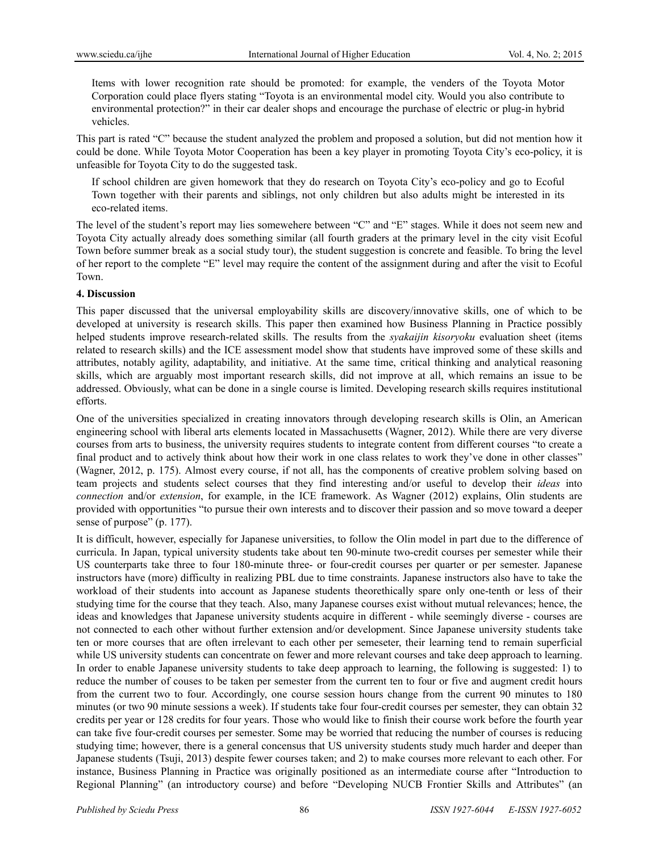Items with lower recognition rate should be promoted: for example, the venders of the Toyota Motor Corporation could place flyers stating "Toyota is an environmental model city. Would you also contribute to environmental protection?" in their car dealer shops and encourage the purchase of electric or plug-in hybrid vehicles.

This part is rated "C" because the student analyzed the problem and proposed a solution, but did not mention how it could be done. While Toyota Motor Cooperation has been a key player in promoting Toyota City's eco-policy, it is unfeasible for Toyota City to do the suggested task.

If school children are given homework that they do research on Toyota City's eco-policy and go to Ecoful Town together with their parents and siblings, not only children but also adults might be interested in its eco-related items.

The level of the student's report may lies somewehere between "C" and "E" stages. While it does not seem new and Toyota City actually already does something similar (all fourth graders at the primary level in the city visit Ecoful Town before summer break as a social study tour), the student suggestion is concrete and feasible. To bring the level of her report to the complete "E" level may require the content of the assignment during and after the visit to Ecoful Town.

# **4. Discussion**

This paper discussed that the universal employability skills are discovery/innovative skills, one of which to be developed at university is research skills. This paper then examined how Business Planning in Practice possibly helped students improve research-related skills. The results from the *syakaijin kisoryoku* evaluation sheet (items related to research skills) and the ICE assessment model show that students have improved some of these skills and attributes, notably agility, adaptability, and initiative. At the same time, critical thinking and analytical reasoning skills, which are arguably most important research skills, did not improve at all, which remains an issue to be addressed. Obviously, what can be done in a single course is limited. Developing research skills requires institutional efforts.

One of the universities specialized in creating innovators through developing research skills is Olin, an American engineering school with liberal arts elements located in Massachusetts (Wagner, 2012). While there are very diverse courses from arts to business, the university requires students to integrate content from different courses "to create a final product and to actively think about how their work in one class relates to work they've done in other classes" (Wagner, 2012, p. 175). Almost every course, if not all, has the components of creative problem solving based on team projects and students select courses that they find interesting and/or useful to develop their *ideas* into *connection* and/or *extension*, for example, in the ICE framework. As Wagner (2012) explains, Olin students are provided with opportunities "to pursue their own interests and to discover their passion and so move toward a deeper sense of purpose" (p. 177).

It is difficult, however, especially for Japanese universities, to follow the Olin model in part due to the difference of curricula. In Japan, typical university students take about ten 90-minute two-credit courses per semester while their US counterparts take three to four 180-minute three- or four-credit courses per quarter or per semester. Japanese instructors have (more) difficulty in realizing PBL due to time constraints. Japanese instructors also have to take the workload of their students into account as Japanese students theorethically spare only one-tenth or less of their studying time for the course that they teach. Also, many Japanese courses exist without mutual relevances; hence, the ideas and knowledges that Japanese university students acquire in different - while seemingly diverse - courses are not connected to each other without further extension and/or development. Since Japanese university students take ten or more courses that are often irrelevant to each other per semeseter, their learning tend to remain superficial while US university students can concentrate on fewer and more relevant courses and take deep approach to learning. In order to enable Japanese university students to take deep approach to learning, the following is suggested: 1) to reduce the number of couses to be taken per semester from the current ten to four or five and augment credit hours from the current two to four. Accordingly, one course session hours change from the current 90 minutes to 180 minutes (or two 90 minute sessions a week). If students take four four-credit courses per semester, they can obtain 32 credits per year or 128 credits for four years. Those who would like to finish their course work before the fourth year can take five four-credit courses per semester. Some may be worried that reducing the number of courses is reducing studying time; however, there is a general concensus that US university students study much harder and deeper than Japanese students (Tsuji, 2013) despite fewer courses taken; and 2) to make courses more relevant to each other. For instance, Business Planning in Practice was originally positioned as an intermediate course after "Introduction to Regional Planning" (an introductory course) and before "Developing NUCB Frontier Skills and Attributes" (an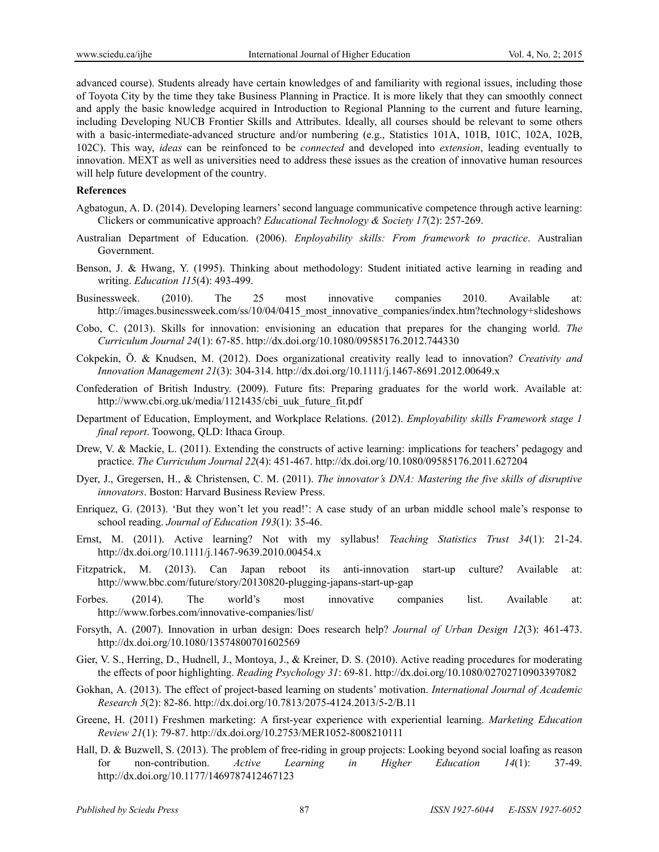advanced course). Students already have certain knowledges of and familiarity with regional issues, including those of Toyota City by the time they take Business Planning in Practice. It is more likely that they can smoothly connect and apply the basic knowledge acquired in Introduction to Regional Planning to the current and future learning, including Developing NUCB Frontier Skills and Attributes. Ideally, all courses should be relevant to some others with a basic-intermediate-advanced structure and/or numbering (e.g., Statistics 101A, 101B, 101C, 102A, 102B, 102C). This way, *ideas* can be reinfonced to be *connected* and developed into *extension*, leading eventually to innovation. MEXT as well as universities need to address these issues as the creation of innovative human resources will help future development of the country.

#### **References**

- Agbatogun, A. D. (2014). Developing learners' second language communicative competence through active learning: Clickers or communicative approach? *Educational Technology & Society 17*(2): 257-269.
- Australian Department of Education. (2006). *Enployability skills: From framework to practice*. Australian Government.
- Benson, J. & Hwang, Y. (1995). Thinking about methodology: Student initiated active learning in reading and writing. *Education 115*(4): 493-499.
- Businessweek. (2010). The 25 most innovative companies 2010. Available at: http://images.businessweek.com/ss/10/04/0415 most\_innovative\_companies/index.htm?technology+slideshows
- Cobo, C. (2013). Skills for innovation: envisioning an education that prepares for the changing world. *The Curriculum Journal 24*(1): 67-85. http://dx.doi.org/10.1080/09585176.2012.744330
- Cokpekin, Ö. & Knudsen, M. (2012). Does organizational creativity really lead to innovation? *Creativity and Innovation Management 21*(3): 304-314. http://dx.doi.org/10.1111/j.1467-8691.2012.00649.x
- Confederation of British Industry. (2009). Future fits: Preparing graduates for the world work. Available at: http://www.cbi.org.uk/media/1121435/cbi\_uuk\_future\_fit.pdf
- Department of Education, Employment, and Workplace Relations. (2012). *Employability skills Framework stage 1 final report*. Toowong, QLD: Ithaca Group.
- Drew, V. & Mackie, L. (2011). Extending the constructs of active learning: implications for teachers' pedagogy and practice. *The Curriculum Journal 22*(4): 451-467. http://dx.doi.org/10.1080/09585176.2011.627204
- Dyer, J., Gregersen, H., & Christensen, C. M. (2011). *The innovator's DNA: Mastering the five skills of disruptive innovators*. Boston: Harvard Business Review Press.
- Enriquez, G. (2013). 'But they won't let you read!': A case study of an urban middle school male's response to school reading. *Journal of Education 193*(1): 35-46.
- Ernst, M. (2011). Active learning? Not with my syllabus! *Teaching Statistics Trust 34*(1): 21-24. http://dx.doi.org/10.1111/j.1467-9639.2010.00454.x
- Fitzpatrick, M. (2013). Can Japan reboot its anti-innovation start-up culture? Available at: http://www.bbc.com/future/story/20130820-plugging-japans-start-up-gap
- Forbes. (2014). The world's most innovative companies list. Available at: http://www.forbes.com/innovative-companies/list/
- Forsyth, A. (2007). Innovation in urban design: Does research help? *Journal of Urban Design 12*(3): 461-473. http://dx.doi.org/10.1080/13574800701602569
- Gier, V. S., Herring, D., Hudnell, J., Montoya, J., & Kreiner, D. S. (2010). Active reading procedures for moderating the effects of poor highlighting. *Reading Psychology 31*: 69-81. http://dx.doi.org/10.1080/02702710903397082
- Gokhan, A. (2013). The effect of project-based learning on students' motivation. *International Journal of Academic Research 5*(2): 82-86. http://dx.doi.org/10.7813/2075-4124.2013/5-2/B.11
- Greene, H. (2011) Freshmen marketing: A first-year experience with experiential learning. *Marketing Education Review 21*(1): 79-87. http://dx.doi.org/10.2753/MER1052-8008210111
- Hall, D. & Buzwell, S. (2013). The problem of free-riding in group projects: Looking beyond social loafing as reason for non-contribution. *Active Learning in Higher Education 14*(1): 37-49. http://dx.doi.org/10.1177/1469787412467123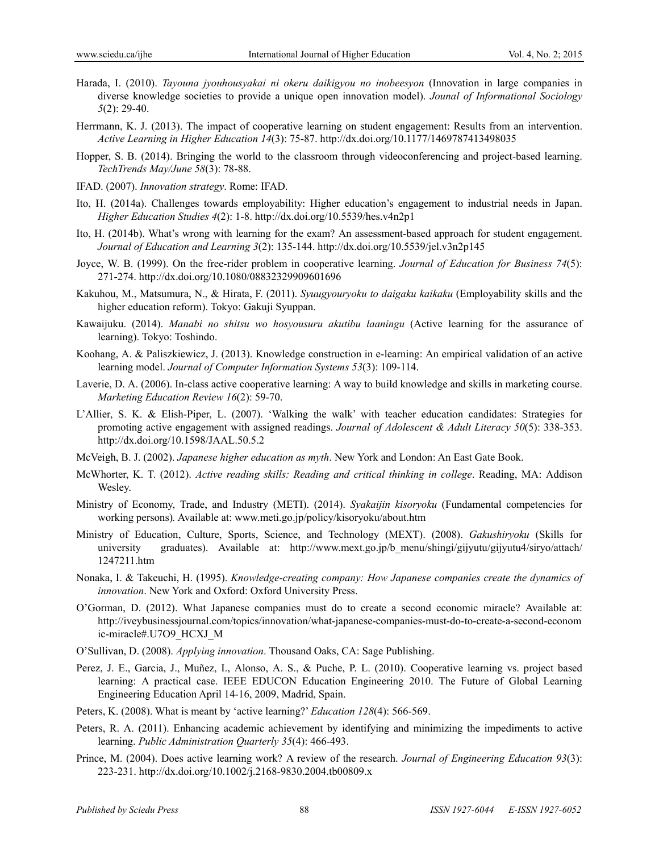- Harada, I. (2010). *Tayouna jyouhousyakai ni okeru daikigyou no inobeesyon* (Innovation in large companies in diverse knowledge societies to provide a unique open innovation model). *Jounal of Informational Sociology 5*(2): 29-40.
- Herrmann, K. J. (2013). The impact of cooperative learning on student engagement: Results from an intervention. *Active Learning in Higher Education 14*(3): 75-87. http://dx.doi.org/10.1177/1469787413498035
- Hopper, S. B. (2014). Bringing the world to the classroom through videoconferencing and project-based learning. *TechTrends May/June 58*(3): 78-88.
- IFAD. (2007). *Innovation strategy*. Rome: IFAD.
- Ito, H. (2014a). Challenges towards employability: Higher education's engagement to industrial needs in Japan. *Higher Education Studies 4*(2): 1-8. http://dx.doi.org/10.5539/hes.v4n2p1
- Ito, H. (2014b). What's wrong with learning for the exam? An assessment-based approach for student engagement. *Journal of Education and Learning 3*(2): 135-144. http://dx.doi.org/10.5539/jel.v3n2p145
- Joyce, W. B. (1999). On the free-rider problem in cooperative learning. *Journal of Education for Business 74*(5): 271-274. http://dx.doi.org/10.1080/08832329909601696
- Kakuhou, M., Matsumura, N., & Hirata, F. (2011). *Syuugyouryoku to daigaku kaikaku* (Employability skills and the higher education reform). Tokyo: Gakuji Syuppan.
- Kawaijuku. (2014). *Manabi no shitsu wo hosyousuru akutibu laaningu* (Active learning for the assurance of learning). Tokyo: Toshindo.
- Koohang, A. & Paliszkiewicz, J. (2013). Knowledge construction in e-learning: An empirical validation of an active learning model. *Journal of Computer Information Systems 53*(3): 109-114.
- Laverie, D. A. (2006). In-class active cooperative learning: A way to build knowledge and skills in marketing course. *Marketing Education Review 16*(2): 59-70.
- L'Allier, S. K. & Elish-Piper, L. (2007). 'Walking the walk' with teacher education candidates: Strategies for promoting active engagement with assigned readings. *Journal of Adolescent & Adult Literacy 50*(5): 338-353. http://dx.doi.org/10.1598/JAAL.50.5.2
- McVeigh, B. J. (2002). *Japanese higher education as myth*. New York and London: An East Gate Book.
- McWhorter, K. T. (2012). *Active reading skills: Reading and critical thinking in college*. Reading, MA: Addison Wesley.
- Ministry of Economy, Trade, and Industry (METI). (2014). *Syakaijin kisoryoku* (Fundamental competencies for working persons)*.* Available at: www.meti.go.jp/policy/kisoryoku/about.htm
- Ministry of Education, Culture, Sports, Science, and Technology (MEXT). (2008). *Gakushiryoku* (Skills for university graduates). Available at: http://www.mext.go.jp/b menu/shingi/gijyutu/gijyutu4/siryo/attach/ 1247211.htm
- Nonaka, I. & Takeuchi, H. (1995). *Knowledge-creating company: How Japanese companies create the dynamics of innovation*. New York and Oxford: Oxford University Press.
- O'Gorman, D. (2012). What Japanese companies must do to create a second economic miracle? Available at: http://iveybusinessjournal.com/topics/innovation/what-japanese-companies-must-do-to-create-a-second-econom ic-miracle#.U7O9\_HCXJ\_M
- O'Sullivan, D. (2008). *Applying innovation*. Thousand Oaks, CA: Sage Publishing.
- Perez, J. E., Garcia, J., Muñez, I., Alonso, A. S., & Puche, P. L. (2010). Cooperative learning vs. project based learning: A practical case. IEEE EDUCON Education Engineering 2010. The Future of Global Learning Engineering Education April 14-16, 2009, Madrid, Spain.
- Peters, K. (2008). What is meant by 'active learning?' *Education 128*(4): 566-569.
- Peters, R. A. (2011). Enhancing academic achievement by identifying and minimizing the impediments to active learning. *Public Administration Quarterly 35*(4): 466-493.
- Prince, M. (2004). Does active learning work? A review of the research. *Journal of Engineering Education 93*(3): 223-231. http://dx.doi.org/10.1002/j.2168-9830.2004.tb00809.x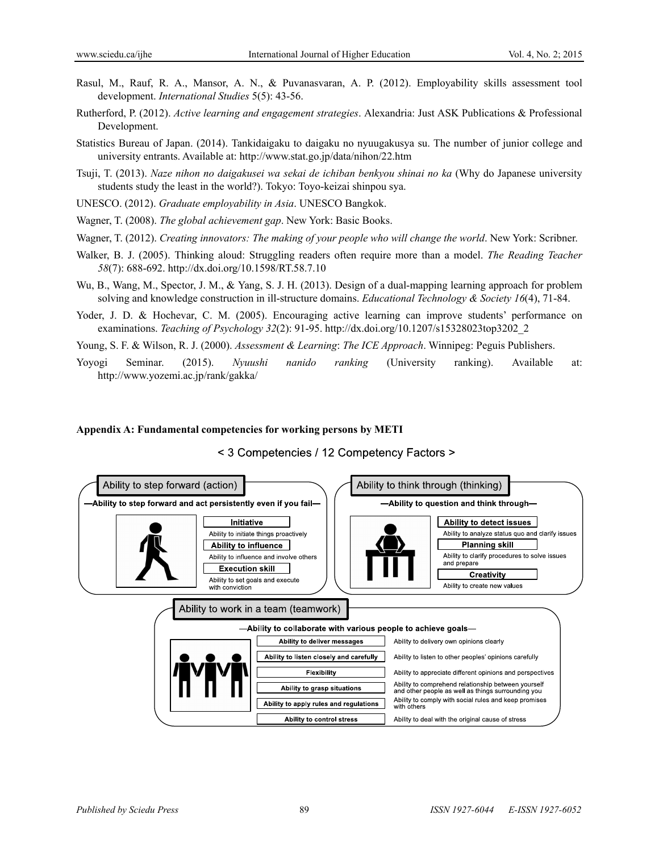- Rasul, M., Rauf, R. A., Mansor, A. N., & Puvanasvaran, A. P. (2012). Employability skills assessment tool development. *International Studies* 5(5): 43-56.
- Rutherford, P. (2012). *Active learning and engagement strategies*. Alexandria: Just ASK Publications & Professional Development.
- Statistics Bureau of Japan. (2014). Tankidaigaku to daigaku no nyuugakusya su. The number of junior college and university entrants. Available at: http://www.stat.go.jp/data/nihon/22.htm
- Tsuji, T. (2013). *Naze nihon no daigakusei wa sekai de ichiban benkyou shinai no ka* (Why do Japanese university students study the least in the world?). Tokyo: Toyo-keizai shinpou sya.
- UNESCO. (2012). *Graduate employability in Asia*. UNESCO Bangkok.
- Wagner, T. (2008). *The global achievement gap*. New York: Basic Books.
- Wagner, T. (2012). *Creating innovators: The making of your people who will change the world*. New York: Scribner.
- Walker, B. J. (2005). Thinking aloud: Struggling readers often require more than a model. *The Reading Teacher 58*(7): 688-692. http://dx.doi.org/10.1598/RT.58.7.10
- Wu, B., Wang, M., Spector, J. M., & Yang, S. J. H. (2013). Design of a dual-mapping learning approach for problem solving and knowledge construction in ill-structure domains. *Educational Technology & Society 16*(4), 71-84.
- Yoder, J. D. & Hochevar, C. M. (2005). Encouraging active learning can improve students' performance on examinations. *Teaching of Psychology 32*(2): 91-95. http://dx.doi.org/10.1207/s15328023top3202\_2
- Young, S. F. & Wilson, R. J. (2000). *Assessment & Learning*: *The ICE Approach*. Winnipeg: Peguis Publishers.
- Yoyogi Seminar. (2015). *Nyuushi nanido ranking* (University ranking). Available at: http://www.yozemi.ac.jp/rank/gakka/

#### **Appendix A: Fundamental competencies for working persons by METI**

< 3 Competencies / 12 Competency Factors >

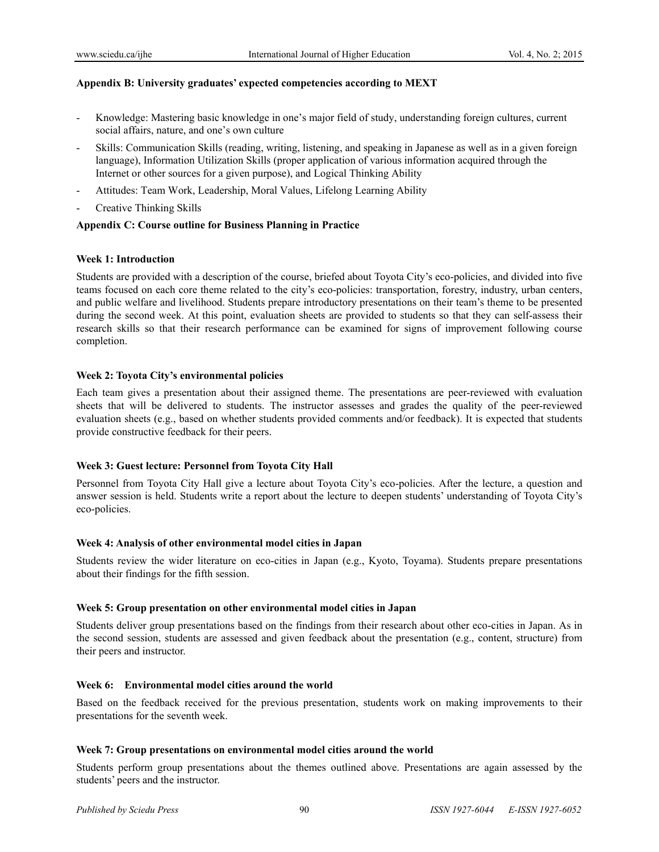## **Appendix B: University graduates' expected competencies according to MEXT**

- Knowledge: Mastering basic knowledge in one's major field of study, understanding foreign cultures, current social affairs, nature, and one's own culture
- Skills: Communication Skills (reading, writing, listening, and speaking in Japanese as well as in a given foreign language), Information Utilization Skills (proper application of various information acquired through the Internet or other sources for a given purpose), and Logical Thinking Ability
- Attitudes: Team Work, Leadership, Moral Values, Lifelong Learning Ability
- Creative Thinking Skills

## **Appendix C: Course outline for Business Planning in Practice**

#### **Week 1: Introduction**

Students are provided with a description of the course, briefed about Toyota City's eco-policies, and divided into five teams focused on each core theme related to the city's eco-policies: transportation, forestry, industry, urban centers, and public welfare and livelihood. Students prepare introductory presentations on their team's theme to be presented during the second week. At this point, evaluation sheets are provided to students so that they can self-assess their research skills so that their research performance can be examined for signs of improvement following course completion.

## **Week 2: Toyota City's environmental policies**

Each team gives a presentation about their assigned theme. The presentations are peer-reviewed with evaluation sheets that will be delivered to students. The instructor assesses and grades the quality of the peer-reviewed evaluation sheets (e.g., based on whether students provided comments and/or feedback). It is expected that students provide constructive feedback for their peers.

#### **Week 3: Guest lecture: Personnel from Toyota City Hall**

Personnel from Toyota City Hall give a lecture about Toyota City's eco-policies. After the lecture, a question and answer session is held. Students write a report about the lecture to deepen students' understanding of Toyota City's eco-policies.

#### **Week 4: Analysis of other environmental model cities in Japan**

Students review the wider literature on eco-cities in Japan (e.g., Kyoto, Toyama). Students prepare presentations about their findings for the fifth session.

## **Week 5: Group presentation on other environmental model cities in Japan**

Students deliver group presentations based on the findings from their research about other eco-cities in Japan. As in the second session, students are assessed and given feedback about the presentation (e.g., content, structure) from their peers and instructor.

#### **Week 6: Environmental model cities around the world**

Based on the feedback received for the previous presentation, students work on making improvements to their presentations for the seventh week.

# **Week 7: Group presentations on environmental model cities around the world**

Students perform group presentations about the themes outlined above. Presentations are again assessed by the students' peers and the instructor.